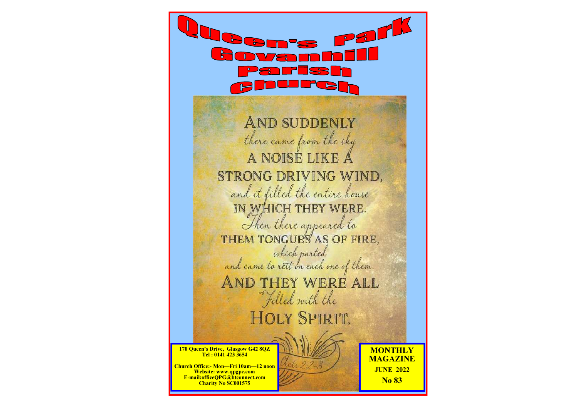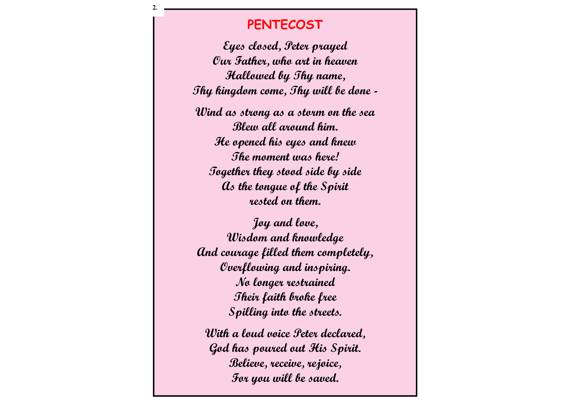# **PENTECOST**

2.

Eyes closed, Peter prayed Our Father, who art in heaven Hallowed by Thy name, Thy kingdom come, Thy will be done -

Wind as strong as a storm on the sea Blew all around him. He opened his eyes and knew The moment was here! Together they stood side by side As the tongue of the Spirit rested on them.

Joy and love, Wisdom and knowledge And courage filled them completely, Overflowing and inspiring. No longer restrained Their faith broke free Spilling into the streets.

With a loud voice Peter declared, God has poured out His Spirit. Believe, receive, rejoice, For you will be saved.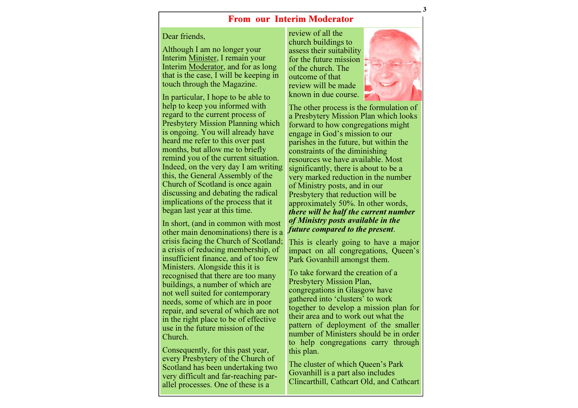#### From our Interim Moderator

#### Dear friends,

Although I am no longer your Interim Minister, I remain your Interim **Moderator**, and for as long that is the case, I will be keeping in touch through the Magazine.

In particular, I hope to be able to help to keep you informed with regard to the current process of Presbytery Mission Planning which is ongoing. You will already have heard me refer to this over past months, but allow me to briefly remind you of the current situation. Indeed, on the very day I am writing this, the General Assembly of the Church of Scotland is once again discussing and debating the radical implications of the process that it began last year at this time.

In short, (and in common with most other main denominations) there is a crisis facing the Church of Scotland; a crisis of reducing membership, of insufficient finance, and of too few Ministers. Alongside this it is recognised that there are too many buildings, a number of which are not well suited for contemporary needs, some of which are in poor repair, and several of which are not in the right place to be of effective use in the future mission of the Church.

Consequently, for this past year, every Presbytery of the Church of Scotland has been undertaking two very difficult and far-reaching parallel processes. One of these is a

review of all the church buildings to assess their suitability for the future mission of the church. The outcome of that review will be made known in due course.



The other process is the formulation of a Presbytery Mission Plan which looks forward to how congregations might engage in God's mission to our parishes in the future, but within the constraints of the diminishing resources we have available. Most significantly, there is about to be a very marked reduction in the number of Ministry posts, and in our Presbytery that reduction will be approximately 50%. In other words, there will be half the current number of Ministry posts available in the future compared to the present.

This is clearly going to have a major impact on all congregations, Queen's Park Govanhill amongst them.

To take forward the creation of a Presbytery Mission Plan, congregations in Glasgow have gathered into 'clusters' to work together to develop a mission plan for their area and to work out what the pattern of deployment of the smaller number of Ministers should be in order to help congregations carry through this plan.

The cluster of which Queen's Park Govanhill is a part also includes Clincarthill, Cathcart Old, and Cathcart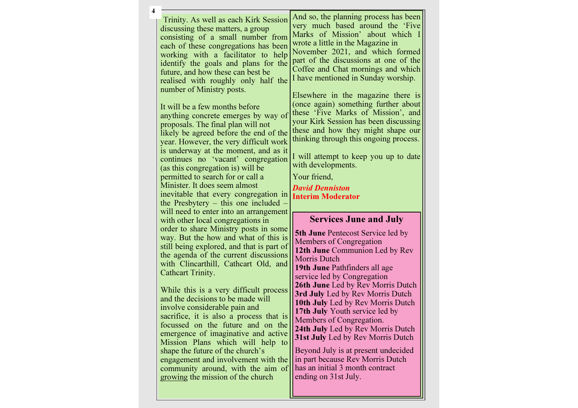| 4 |                                                                                                                                                                                                                                                                                                                                                                                                                                                                                                                                                                                                                                                                                                                                                                                                                             |                                                                                                                                                                                                                                                                                                                                                                                                                                                                                                                                                                                                                                                                                              |
|---|-----------------------------------------------------------------------------------------------------------------------------------------------------------------------------------------------------------------------------------------------------------------------------------------------------------------------------------------------------------------------------------------------------------------------------------------------------------------------------------------------------------------------------------------------------------------------------------------------------------------------------------------------------------------------------------------------------------------------------------------------------------------------------------------------------------------------------|----------------------------------------------------------------------------------------------------------------------------------------------------------------------------------------------------------------------------------------------------------------------------------------------------------------------------------------------------------------------------------------------------------------------------------------------------------------------------------------------------------------------------------------------------------------------------------------------------------------------------------------------------------------------------------------------|
|   | Trinity. As well as each Kirk Session<br>discussing these matters, a group<br>consisting of a small number from<br>each of these congregations has been<br>working with a facilitator to help<br>identify the goals and plans for the<br>future, and how these can best be<br>realised with roughly only half the<br>number of Ministry posts.<br>It will be a few months before<br>anything concrete emerges by way of<br>proposals. The final plan will not<br>likely be agreed before the end of the<br>year. However, the very difficult work<br>is underway at the moment, and as it<br>continues no 'vacant' congregation<br>(as this congregation is) will be<br>permitted to search for or call a<br>Minister. It does seem almost<br>inevitable that every congregation in<br>the Presbytery – this one included - | And so, the planning process has been<br>very much based around the 'Five<br>Marks of Mission' about which I<br>wrote a little in the Magazine in<br>November 2021, and which formed<br>part of the discussions at one of the<br>Coffee and Chat mornings and which<br>I have mentioned in Sunday worship.<br>Elsewhere in the magazine there is<br>(once again) something further about<br>these 'Five Marks of Mission', and<br>your Kirk Session has been discussing<br>these and how they might shape our<br>thinking through this ongoing process.<br>I will attempt to keep you up to date<br>with developments.<br>Your friend,<br><b>David Denniston</b><br><b>Interim Moderator</b> |
|   | will need to enter into an arrangement<br>with other local congregations in<br>order to share Ministry posts in some<br>way. But the how and what of this is<br>still being explored, and that is part of<br>the agenda of the current discussions<br>with Clincarthill, Cathcart Old, and<br>Cathcart Trinity.<br>While this is a very difficult process<br>and the decisions to be made will<br>involve considerable pain and<br>sacrifice, it is also a process that is<br>focussed on the future and on the<br>emergence of imaginative and active<br>Mission Plans which will help to<br>shape the future of the church's<br>engagement and involvement with the<br>community around, with the aim of<br>growing the mission of the church                                                                             | <b>Services June and July</b><br><b>5th June</b> Pentecost Service led by<br>Members of Congregation<br>12th June Communion Led by Rev<br><b>Morris Dutch</b><br>19th June Pathfinders all age<br>service led by Congregation<br>26th June Led by Rev Morris Dutch<br>3rd July Led by Rev Morris Dutch<br>10th July Led by Rev Morris Dutch<br>17th July Youth service led by<br>Members of Congregation.<br>24th July Led by Rev Morris Dutch<br>31st July Led by Rev Morris Dutch<br>Beyond July is at present undecided<br>in part because Rev Morris Dutch<br>has an initial 3 month contract<br>ending on 31st July.                                                                    |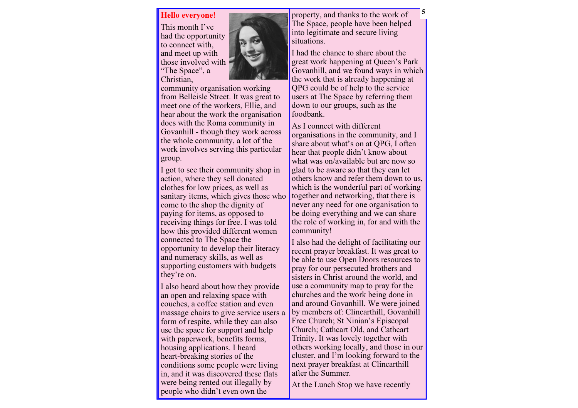#### Hello everyone!

This month I've had the opportunity to connect with, and meet up with those involved with "The Space", a Christian,

 community organisation working from Belleisle Street. It was great to meet one of the workers, Ellie, and hear about the work the organisation does with the Roma community in Govanhill - though they work across the whole community, a lot of the work involves serving this particular group.

I got to see their community shop in action, where they sell donated clothes for low prices, as well as sanitary items, which gives those who come to the shop the dignity of paying for items, as opposed to receiving things for free. I was told how this provided different women connected to The Space the opportunity to develop their literacy and numeracy skills, as well as supporting customers with budgets they're on.

I also heard about how they provide an open and relaxing space with couches, a coffee station and even massage chairs to give service users a form of respite, while they can also use the space for support and help with paperwork, benefits forms, housing applications. I heard heart-breaking stories of the conditions some people were living in, and it was discovered these flats were being rented out illegally by people who didn't even own the

property, and thanks to the work of The Space, people have been helped into legitimate and secure living situations.

I had the chance to share about the great work happening at Queen's Park Govanhill, and we found ways in which the work that is already happening at QPG could be of help to the service users at The Space by referring them down to our groups, such as the foodbank.

As I connect with different organisations in the community, and I share about what's on at QPG, I often hear that people didn't know about what was on/available but are now so glad to be aware so that they can let others know and refer them down to us, which is the wonderful part of working together and networking, that there is never any need for one organisation to be doing everything and we can share the role of working in, for and with the community!

I also had the delight of facilitating our recent prayer breakfast. It was great to be able to use Open Doors resources to pray for our persecuted brothers and sisters in Christ around the world, and use a community map to pray for the churches and the work being done in and around Govanhill. We were joined by members of: Clincarthill, Govanhill Free Church; St Ninian's Episcopal Church; Cathcart Old, and Cathcart Trinity. It was lovely together with others working locally, and those in our cluster, and I'm looking forward to the next prayer breakfast at Clincarthill after the Summer.

At the Lunch Stop we have recently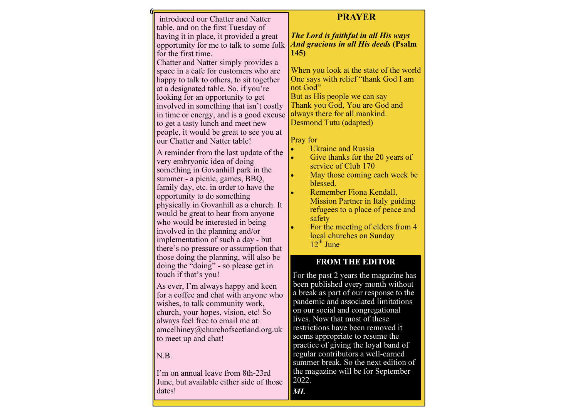| introduced our Chatter and Natter        |                  |
|------------------------------------------|------------------|
| table, and on the first Tuesday of       |                  |
| having it in place, it provided a great  | $\overline{T}$   |
| opportunity for me to talk to some folk  | $\overline{A}$ i |
| for the first time.                      | 14               |
| Chatter and Natter simply provides a     |                  |
| space in a cafe for customers who are    | W                |
| happy to talk to others, to sit together | $\overline{O}$   |
| at a designated table. So, if you're     | nc               |
| looking for an opportunity to get        | B <sub>1</sub>   |
| involved in something that isn't costly  | Tl               |
| in time or energy, and is a good excuse  | aŀ               |
| to get a tasty lunch and meet new        | D۱               |
| people, it would be great to see you at  |                  |
| our Chatter and Natter table!            | $\overline{P}$ r |
| A reminder from the last update of the   |                  |
| very embryonic idea of doing             |                  |
| something in Govanhill park in the       |                  |
| summer - a picnic, games, BBQ,           |                  |
| family day, etc. in order to have the    |                  |
| opportunity to do something              |                  |
| physically in Govanhill as a church. It  |                  |
| would be great to hear from anyone       |                  |
| who would be interested in being         |                  |
| involved in the planning and/or          |                  |
| implementation of such a day - but       |                  |
| there's no pressure or assumption that   |                  |
| those doing the planning, will also be   |                  |
| doing the "doing" - so please get in     |                  |
| touch if that's you!                     | F                |
| As ever, I'm always happy and keen       | b                |
| for a coffee and chat with anyone who    | $\mathbf{a}$     |
| wishes, to talk community work,          | p                |
| church, your hopes, vision, etc! So      | $\overline{O}$   |
| always feel free to email me at:         | li               |
| amcelhiney@churchofscotland.org.uk       | r <sub>(</sub>   |
| to meet up and chat!                     | S(<br>'n         |
|                                          |                  |

## N.B.

**ն**ե

I'm on annual leave from 8th-23rd June, but available either side of those dates!

# PRAYER

**The Lord is faithful in all His ways**  And gracious in all His deeds (Psalm 145)

When you look at the state of the world One says with relief "thank God I am ot God" But as His people we can say Thank you God, You are God and ways there for all mankind. Desmond Tutu (adapted)

ray for

- Ukraine and Russia
- Give thanks for the 20 years of service of Club 170
- May those coming each week be blessed.
- Remember Fiona Kendall, **Mission Partner in Italy guiding**  refugees to a place of peace and safety
- For the meeting of elders from 4 local churches on Sunday  $12^{th}$  June

#### FROM THE EDITOR

For the past 2 years the magazine has been published every month without a break as part of our response to the andemic and associated limitations n our social and congregational lives. Now that most of these restrictions have been removed it eems appropriate to resume the practice of giving the loyal band of regular contributors a well-earned summer break. So the next edition of the magazine will be for September 2022. ML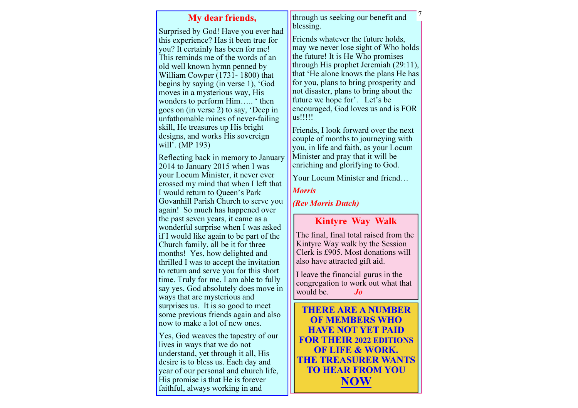# My dear friends,

Surprised by God! Have you ever had this experience? Has it been true for you? It certainly has been for me! This reminds me of the words of an old well known hymn penned by William Cowper (1731- 1800) that begins by saying (in verse 1), 'God moves in a mysterious way, His wonders to perform Him….. ' then goes on (in verse 2) to say, 'Deep in unfathomable mines of never-failing skill, He treasures up His bright designs, and works His sovereign will'. (MP 193)

Reflecting back in memory to January 2014 to January 2015 when I was your Locum Minister, it never ever crossed my mind that when I left that I would return to Queen's Park Govanhill Parish Church to serve you again! So much has happened over the past seven years, it came as a wonderful surprise when I was asked if I would like again to be part of the Church family, all be it for three months! Yes, how delighted and thrilled I was to accept the invitation to return and serve you for this short time. Truly for me, I am able to fully say yes, God absolutely does move in ways that are mysterious and surprises us. It is so good to meet some previous friends again and also now to make a lot of new ones.

Yes, God weaves the tapestry of our lives in ways that we do not understand, yet through it all, His desire is to bless us. Each day and year of our personal and church life, His promise is that He is forever faithful, always working in and

through us seeking our benefit and blessing.

7

Friends whatever the future holds, may we never lose sight of Who holds the future! It is He Who promises through His prophet Jeremiah (29:11), that 'He alone knows the plans He has for you, plans to bring prosperity and not disaster, plans to bring about the future we hope for'. Let's be encouraged, God loves us and is FOR us!!!!!

Friends, I look forward over the next couple of months to journeying with you, in life and faith, as your Locum Minister and pray that it will be enriching and glorifying to God.

Your Locum Minister and friend…

#### Morris

(Rev Morris Dutch)

# Kintyre Way Walk

The final, final total raised from the Kintyre Way walk by the Session Clerk is £905. Most donations will also have attracted gift aid.

I leave the financial gurus in the congregation to work out what that would be.  $J_0$ 

THERE ARE A NUMBER OF MEMBERS WHO HAVE NOT YET PAID FOR THEIR 2022 EDITIONS OF LIFE & WORK. THE TREASURER WANTS TO HEAR FROM YOU **NOW**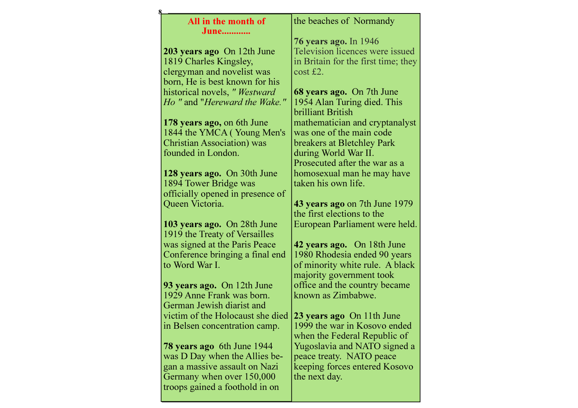| All in the month of                | the beaches of Normandy              |
|------------------------------------|--------------------------------------|
| June                               |                                      |
|                                    | 76 years ago. In 1946                |
| 203 years ago On 12th June         | Television licences were issued      |
| 1819 Charles Kingsley,             | in Britain for the first time; they  |
| clergyman and novelist was         | $\cos t \leq 2$ .                    |
| born, He is best known for his     |                                      |
| historical novels, " Westward      | 68 years ago. On 7th June            |
| Ho " and "Hereward the Wake."      | 1954 Alan Turing died. This          |
|                                    | brilliant British                    |
| 178 years ago, on 6th June         | mathematician and cryptanalyst       |
| 1844 the YMCA (Young Men's         | was one of the main code             |
| <b>Christian Association</b> ) was | breakers at Bletchley Park           |
| founded in London.                 | during World War II.                 |
|                                    | Prosecuted after the war as a        |
| 128 years ago. On 30th June        | homosexual man he may have           |
| 1894 Tower Bridge was              | taken his own life.                  |
| officially opened in presence of   |                                      |
| Queen Victoria.                    | <b>43 years ago on 7th June 1979</b> |
|                                    | the first elections to the           |
| 103 years ago. On 28th June        | European Parliament were held.       |
| 1919 the Treaty of Versailles      |                                      |
| was signed at the Paris Peace      | 42 years ago. On 18th June           |
| Conference bringing a final end    | 1980 Rhodesia ended 90 years         |
| to Word War I.                     | of minority white rule. A black      |
|                                    | majority government took             |
| 93 years ago. On 12th June         | office and the country became        |
| 1929 Anne Frank was born.          | known as Zimbabwe.                   |
| German Jewish diarist and          |                                      |
| victim of the Holocaust she died   | 23 years ago On 11th June            |
| in Belsen concentration camp.      | 1999 the war in Kosovo ended         |
|                                    | when the Federal Republic of         |
| <b>78 years ago</b> 6th June 1944  | Yugoslavia and NATO signed a         |
| was D Day when the Allies be-      | peace treaty. NATO peace             |
| gan a massive assault on Nazi      | keeping forces entered Kosovo        |
| Germany when over 150,000          | the next day.                        |
| troops gained a foothold in on     |                                      |
|                                    |                                      |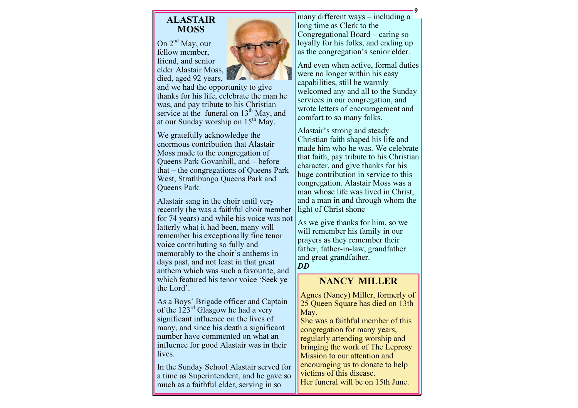# ALASTAIR **MOSS**

On 2<sup>nd</sup> May, our fellow member, friend, and senior elder Alastair Moss, died, aged 92 years,



 and we had the opportunity to give thanks for his life, celebrate the man he was, and pay tribute to his Christian service at the funeral on 13<sup>th</sup> May, and at our Sunday worship on  $15<sup>th</sup>$  May.

We gratefully acknowledge the enormous contribution that Alastair Moss made to the congregation of Queens Park Govanhill, and – before that – the congregations of Queens Park West, Strathbungo Queens Park and Queens Park.

Alastair sang in the choir until very recently (he was a faithful choir member for 74 years) and while his voice was not latterly what it had been, many will remember his exceptionally fine tenor voice contributing so fully and memorably to the choir's anthems in days past, and not least in that great anthem which was such a favourite, and which featured his tenor voice 'Seek ye the Lord'.

As a Boys' Brigade officer and Captain of the 123rd Glasgow he had a very significant influence on the lives of many, and since his death a significant number have commented on what an influence for good Alastair was in their lives.

In the Sunday School Alastair served for a time as Superintendent, and he gave so much as a faithful elder, serving in so

many different ways – including a long time as Clerk to the Congregational Board – caring so loyally for his folks, and ending up as the congregation's senior elder.

And even when active, formal duties were no longer within his easy capabilities, still he warmly welcomed any and all to the Sunday services in our congregation, and wrote letters of encouragement and comfort to so many folks.

Alastair's strong and steady Christian faith shaped his life and made him who he was. We celebrate that faith, pay tribute to his Christian character, and give thanks for his huge contribution in service to this congregation. Alastair Moss was a man whose life was lived in Christ, and a man in and through whom the light of Christ shone

As we give thanks for him, so we will remember his family in our prayers as they remember their father, father-in-law, grandfather and great grandfather. DD

# NANCY MILLER

Agnes (Nancy) Miller, formerly of 25 Queen Square has died on 13th May.

 She was a faithful member of this congregation for many years, regularly attending worship and bringing the work of The Leprosy Mission to our attention and encouraging us to donate to help victims of this disease. Her funeral will be on 15th June.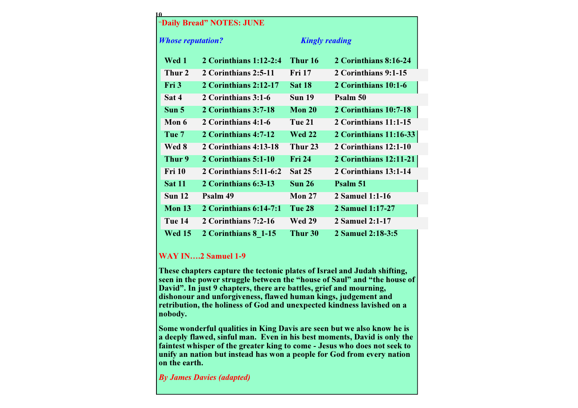| 10                        |                          |                   |                        |
|---------------------------|--------------------------|-------------------|------------------------|
| "Daily Bread" NOTES: JUNE |                          |                   |                        |
| <b>Whose reputation?</b>  |                          |                   | <b>Kingly reading</b>  |
| Wed 1                     | 2 Corinthians $1:12-2:4$ | Thur 16           | 2 Corinthians 8:16-24  |
| Thur 2                    | 2 Corinthians 2:5-11     | <b>Fri 17</b>     | 2 Corinthians 9:1-15   |
| Fri 3                     | 2 Corinthians 2:12-17    | <b>Sat 18</b>     | 2 Corinthians 10:1-6   |
| Sat 4                     | 2 Corinthians 3:1-6      | <b>Sun 19</b>     | Psalm 50               |
| Sun <sub>5</sub>          | 2 Corinthians 3:7-18     | <b>Mon 20</b>     | 2 Corinthians 10:7-18  |
| Mon 6                     | 2 Corinthians 4:1-6      | <b>Tue 21</b>     | 2 Corinthians 11:1-15  |
| Tue <sub>7</sub>          | 2 Corinthians 4:7-12     | <b>Wed 22</b>     | 2 Corinthians 11:16-33 |
| Wed 8                     | 2 Corinthians 4:13-18    | Thur 23           | 2 Corinthians 12:1-10  |
| Thur 9                    | 2 Corinthians 5:1-10     | <b>Fri 24</b>     | 2 Corinthians 12:11-21 |
| <b>Fri</b> 10             | 2 Corinthians 5:11-6:2   | <b>Sat 25</b>     | 2 Corinthians 13:1-14  |
| <b>Sat 11</b>             | 2 Corinthians 6:3-13     | Sun <sub>26</sub> | Psalm 51               |
| Sun <sub>12</sub>         | Psalm 49                 | Mon $27$          | 2 Samuel 1:1-16        |
| Mon $13$                  | 2 Corinthians $6:14-7:1$ | Tue 28            | 2 Samuel 1:17-27       |
| Tue 14                    | 2 Corinthians 7:2-16     | <b>Wed 29</b>     | 2 Samuel 2:1-17        |
| <b>Wed 15</b>             | 2 Corinthians 8 1-15     | Thur 30           | 2 Samuel 2:18-3:5      |

#### WAY IN….2 Samuel 1-9

These chapters capture the tectonic plates of Israel and Judah shifting, seen in the power struggle between the "house of Saul" and "the house of David". In just 9 chapters, there are battles, grief and mourning, dishonour and unforgiveness, flawed human kings, judgement and retribution, the holiness of God and unexpected kindness lavished on a nobody.

Some wonderful qualities in King Davis are seen but we also know he is a deeply flawed, sinful man. Even in his best moments, David is only the faintest whisper of the greater king to come - Jesus who does not seek to unify an nation but instead has won a people for God from every nation on the earth.

By James Davies (adapted)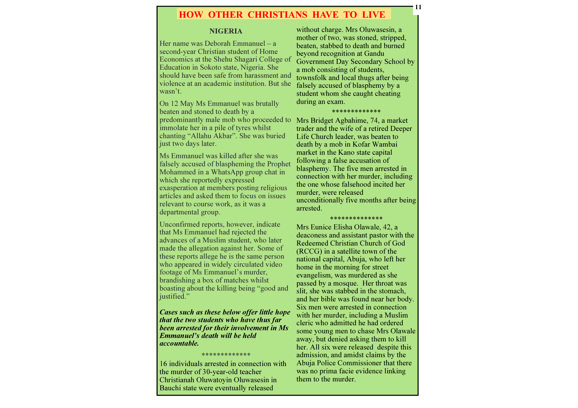#### HOW OTHER CHRISTIANS HAVE TO LIVE

#### NIGERIA

Her name was Deborah Emmanuel – a second-year Christian student of Home Economics at the Shehu Shagari College of Education in Sokoto state, Nigeria. She should have been safe from harassment and violence at an academic institution. But she wasn't.

On 12 May Ms Emmanuel was brutally beaten and stoned to death by a predominantly male mob who proceeded to Mrs Bridget Agbahime, 74, a market immolate her in a pile of tyres whilst chanting "Allahu Akbar". She was buried just two days later.

Ms Emmanuel was killed after she was falsely accused of blaspheming the Prophet Mohammed in a WhatsApp group chat in which she reportedly expressed exasperation at members posting religious articles and asked them to focus on issues relevant to course work, as it was a departmental group.

Unconfirmed reports, however, indicate that Ms Emmanuel had rejected the advances of a Muslim student, who later made the allegation against her. Some of these reports allege he is the same person who appeared in widely circulated video footage of Ms Emmanuel's murder, brandishing a box of matches whilst boasting about the killing being "good and justified."

Cases such as these below offer little hope that the two students who have thus far been arrested for their involvement in Ms Emmanuel's death will be held accountable.

\*\*\*\*\*\*\*\*\*\*\*\*\*

 16 individuals arrested in connection with the murder of 30-year-old teacher Christianah Oluwatoyin Oluwasesin in Bauchi state were eventually released

without charge. Mrs Oluwasesin, a mother of two, was stoned, stripped, beaten, stabbed to death and burned beyond recognition at Gandu Government Day Secondary School by a mob consisting of students, townsfolk and local thugs after being falsely accused of blasphemy by a student whom she caught cheating during an exam.

11

#### \*\*\*\*\*\*\*\*\*\*\*\*\*

 trader and the wife of a retired Deeper Life Church leader, was beaten to death by a mob in Kofar Wambai market in the Kano state capital following a false accusation of blasphemy. The five men arrested in connection with her murder, including the one whose falsehood incited her murder, were released unconditionally five months after being arrested.

#### \*\*\*\*\*\*\*\*\*\*\*\*\*\*

 Mrs Eunice Elisha Olawale, 42, a deaconess and assistant pastor with the Redeemed Christian Church of God (RCCG) in a satellite town of the national capital, Abuja, who left her home in the morning for street evangelism, was murdered as she passed by a mosque. Her throat was slit, she was stabbed in the stomach, and her bible was found near her body. Six men were arrested in connection with her murder, including a Muslim cleric who admitted he had ordered some young men to chase Mrs Olawale away, but denied asking them to kill her. All six were released despite this admission, and amidst claims by the Abuja Police Commissioner that there was no prima facie evidence linking them to the murder.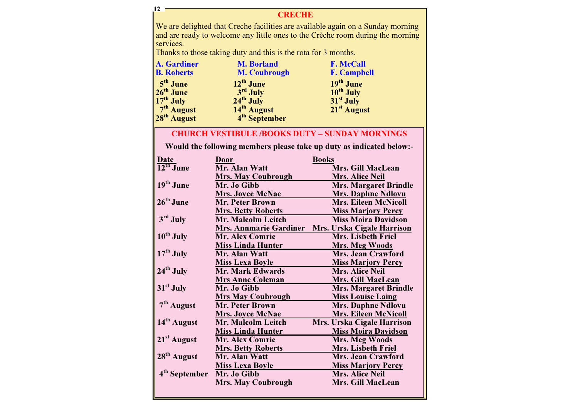### **CRECHE**

We are delighted that Creche facilities are available again on a Sunday morning and are ready to welcome any little ones to the Crèche room during the morning services.

Thanks to those taking duty and this is the rota for 3 months.

12

| <b>A.</b> Gardiner                      | <b>M. Borland</b>         | <b>F. McCall</b>        |
|-----------------------------------------|---------------------------|-------------------------|
| <b>B.</b> Roberts                       | <b>M. Coubrough</b>       | <b>F. Campbell</b>      |
| $5th$ June                              | $12^{th}$ June            | 19 <sup>th</sup> June   |
| 26 <sup>th</sup> June                   | 3rd July                  | 10 <sup>th</sup> July   |
| $\overline{17^{th}}$ July               | $24th$ July               | 31 <sup>st</sup> July   |
| $7th$ August<br>28 <sup>th</sup> August | 14 <sup>th</sup> August   | 21 <sup>st</sup> August |
|                                         | 4 <sup>th</sup> September |                         |

## CHURCH VESTIBULE /BOOKS DUTY – SUNDAY MORNINGS

Would the following members please take up duty as indicated below:-

| Date                      | Door                          | <b>Books</b>                      |
|---------------------------|-------------------------------|-----------------------------------|
| $12^{\text{th}}$ June     | Mr. Alan Watt                 | Mrs. Gill MacLean                 |
|                           | <b>Mrs. May Coubrough</b>     | <b>Mrs. Alice Neil</b>            |
| $19th$ June               | Mr. Jo Gibb                   | <b>Mrs. Margaret Brindle</b>      |
|                           | <b>Mrs. Joyce McNae</b>       | <b>Mrs. Daphne Ndlovu</b>         |
| $26th$ June               | <b>Mr. Peter Brown</b>        | <b>Mrs. Eileen McNicoll</b>       |
|                           | <b>Mrs. Betty Roberts</b>     | <b>Miss Marjory Percy</b>         |
| 3rd July                  | <b>Mr. Malcolm Leitch</b>     | <b>Miss Moira Davidson</b>        |
|                           | <b>Mrs. Annmarie Gardiner</b> | <b>Mrs. Urska Cigale Harrison</b> |
| $10^{th}$ July            | <b>Mr. Alex Comrie</b>        | <b>Mrs. Lisbeth Friel</b>         |
|                           | <b>Miss Linda Hunter</b>      | <b>Mrs. Meg Woods</b>             |
| $17th$ July               | Mr. Alan Watt                 | <b>Mrs. Jean Crawford</b>         |
|                           | <b>Miss Lexa Boyle</b>        | <b>Miss Marjory Percy</b>         |
| $24th$ July               | <b>Mr. Mark Edwards</b>       | <b>Mrs. Alice Neil</b>            |
|                           | <b>Mrs Anne Coleman</b>       | Mrs. Gill MacLean                 |
| $31st$ July               | Mr. Jo Gibb                   | <b>Mrs. Margaret Brindle</b>      |
|                           | <b>Mrs May Coubrough</b>      | <b>Miss Louise Laing</b>          |
| 7 <sup>th</sup> August    | <b>Mr. Peter Brown</b>        | <b>Mrs. Daphne Ndlovu</b>         |
|                           | <b>Mrs. Joyce McNae</b>       | <b>Mrs. Eileen McNicoll</b>       |
| 14 <sup>th</sup> August   | Mr. Malcolm Leitch            | Mrs. Urska Cigale Harrison        |
|                           | <b>Miss Linda Hunter</b>      | <b>Miss Moira Davidson</b>        |
| $21st$ August             | <b>Mr. Alex Comrie</b>        | <b>Mrs. Meg Woods</b>             |
|                           | <b>Mrs. Betty Roberts</b>     | <b>Mrs. Lisbeth Friel</b>         |
| 28 <sup>th</sup> August   | Mr. Alan Watt                 | <b>Mrs. Jean Crawford</b>         |
|                           | <b>Miss Lexa Boyle</b>        | <b>Miss Marjory Percy</b>         |
| 4 <sup>th</sup> September | Mr. Jo Gibb                   | Mrs. Alice Neil                   |
|                           | <b>Mrs. May Coubrough</b>     | Mrs. Gill MacLean                 |
|                           |                               |                                   |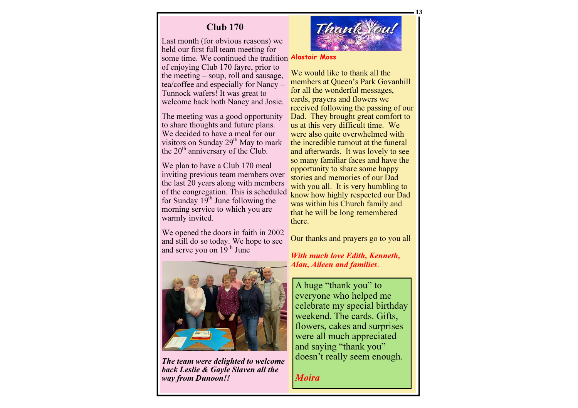# Club 170

Last month (for obvious reasons) we held our first full team meeting for some time. We continued the tradition **Alastair Moss** 

of enjoying Club 170 fayre, prior to the meeting – soup, roll and sausage, tea/coffee and especially for Nancy – Tunnock wafers! It was great to welcome back both Nancy and Josie.

The meeting was a good opportunity to share thoughts and future plans. We decided to have a meal for our visitors on Sunday 29<sup>th</sup> May to mark the  $20<sup>th</sup>$  anniversary of the Club.

We plan to have a Club 170 meal inviting previous team members over the last 20 years along with members of the congregation. This is scheduled for Sunday  $19<sup>th</sup>$  June following the morning service to which you are warmly invited.

We opened the doors in faith in 2002 and still do so today. We hope to see and serve you on  $19<sup>h</sup>$  June



The team were delighted to welcome back Leslie & Gayle Slaven all the way from Dunoon!!



We would like to thank all the members at Queen's Park Govanhill for all the wonderful messages, cards, prayers and flowers we received following the passing of our Dad. They brought great comfort to us at this very difficult time. We were also quite overwhelmed with the incredible turnout at the funeral and afterwards. It was lovely to see so many familiar faces and have the opportunity to share some happy stories and memories of our Dad with you all. It is very humbling to know how highly respected our Dad was within his Church family and that he will be long remembered there.

Our thanks and prayers go to you all

With much love Edith, Kenneth, Alan, Aileen and families.

A huge "thank you" to everyone who helped me celebrate my special birthday weekend. The cards. Gifts, flowers, cakes and surprises were all much appreciated and saying "thank you" doesn't really seem enough.

Moira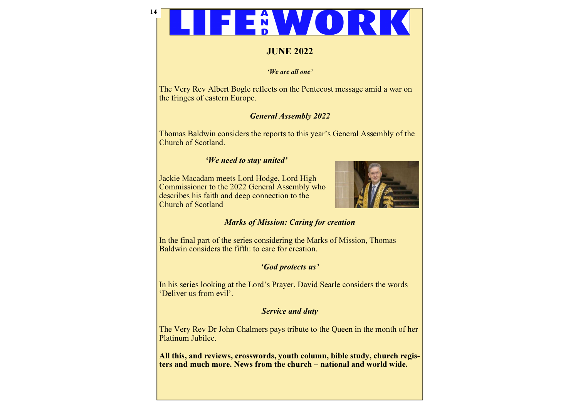# 14

# JUNE 2022

#### 'We are all one'

The Very Rev Albert Bogle reflects on the Pentecost message amid a war on the fringes of eastern Europe.

# General Assembly 2022

Thomas Baldwin considers the reports to this year's General Assembly of the Church of Scotland.

# 'We need to stay united'

Jackie Macadam meets Lord Hodge, Lord High Commissioner to the 2022 General Assembly who describes his faith and deep connection to the Church of Scotland



# Marks of Mission: Caring for creation

In the final part of the series considering the Marks of Mission, Thomas Baldwin considers the fifth: to care for creation.

# 'God protects us'

In his series looking at the Lord's Prayer, David Searle considers the words 'Deliver us from evil'.

## Service and duty

The Very Rev Dr John Chalmers pays tribute to the Queen in the month of her Platinum Jubilee.

All this, and reviews, crosswords, youth column, bible study, church registers and much more. News from the church – national and world wide.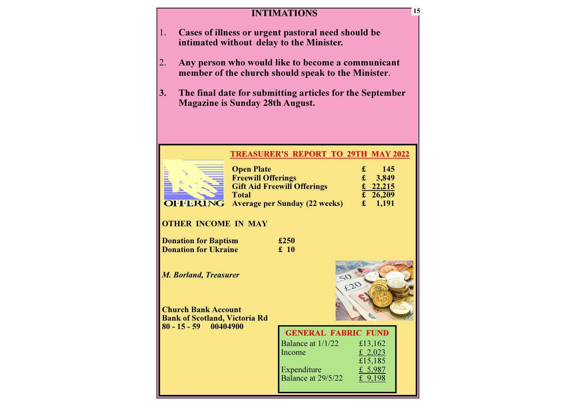## **INTIMATIONS**

- 1. Cases of illness or urgent pastoral need should be intimated without delay to the Minister.
- 2. Any person who would like to become a communicant member of the church should speak to the Minister.
- 3. The final date for submitting articles for the SeptemberMagazine is Sunday 28th August.

#### TREASURER'S REPORT TO 29TH MAY 2022



| <b>Open Plate</b>                    | Æ. | 145        |
|--------------------------------------|----|------------|
| <b>Freewill Offerings</b>            |    | 3,849      |
| <b>Gift Aid Freewill Offerings</b>   |    | £ 22,215   |
| <b>Total</b>                         |    | £ $26,209$ |
| <b>Average per Sunday (22 weeks)</b> |    | 1,191      |

## OTHER INCOME IN MAY

| <b>Donation for Baptism</b> | £250 |
|-----------------------------|------|
| <b>Donation for Ukraine</b> | £10  |

M. Borland, Treasurer

Church Bank Account Bank of Scotland, Victoria Rd 80 - 15 - 59 00404900



| <b>GENERAL FABRIC FUND</b> |           |
|----------------------------|-----------|
| Balance at 1/1/22          | £13,162   |
| Income                     | £ 2,023   |
|                            | £15,185   |
| Expenditure                | £ 5,987   |
| Balance at 29/5/22         | £ $9,198$ |
|                            |           |